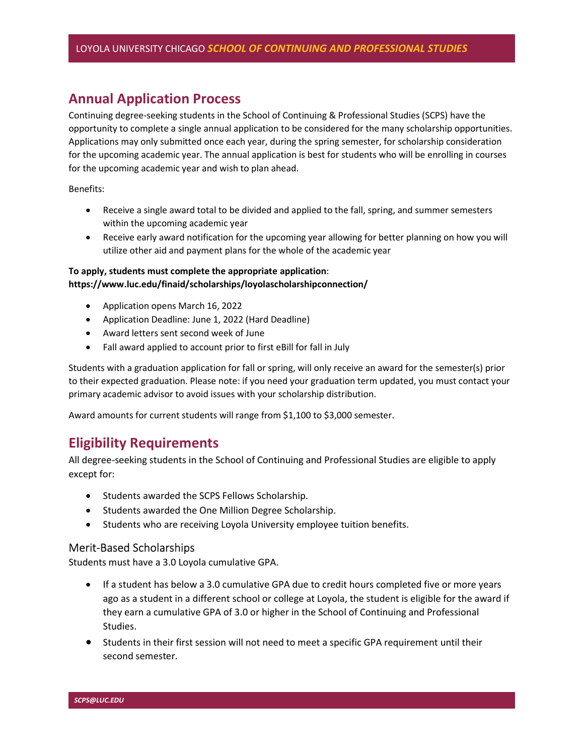# Annual Application Process

Continuing degree-seeking students in the School of Continuing & Professional Studies (SCPS) have the opportunity to complete a single annual application to be considered for the many scholarship opportunities. Applications may only submitted once each year, during the spring semester, for scholarship consideration for the upcoming academic year. The annual application is best for students who will be enrolling in courses for the upcoming academic year and wish to plan ahead.

Benefits:

- Receive a single award total to be divided and applied to the fall, spring, and summer semesters within the upcoming academic year
- Receive early award notification for the upcoming year allowing for better planning on how you will utilize other aid and payment plans for the whole of the academic year

#### To apply, students must complete the appropriate application: https://www.luc.edu/finaid/scholarships/loyolascholarshipconnection/

- Application opens March 16, 2022
- Application Deadline: June 1, 2022 (Hard Deadline)
- Award letters sent second week of June
- Fall award applied to account prior to first eBill for fall in July

Students with a graduation application for fall or spring, will only receive an award for the semester(s) prior to their expected graduation. Please note: if you need your graduation term updated, you must contact your primary academic advisor to avoid issues with your scholarship distribution.

Award amounts for current students will range from \$1,100 to \$3,000 semester.

# Eligibility Requirements

All degree-seeking students in the School of Continuing and Professional Studies are eligible to apply except for:

- Students awarded the SCPS Fellows Scholarship.
- Students awarded the One Million Degree Scholarship.
- Students who are receiving Loyola University employee tuition benefits.

### Merit-Based Scholarships

Students must have a 3.0 Loyola cumulative GPA.

- If a student has below a 3.0 cumulative GPA due to credit hours completed five or more years ago as a student in a different school or college at Loyola, the student is eligible for the award if they earn a cumulative GPA of 3.0 or higher in the School of Continuing and Professional Studies.
- Students in their first session will not need to meet a specific GPA requirement until their second semester.